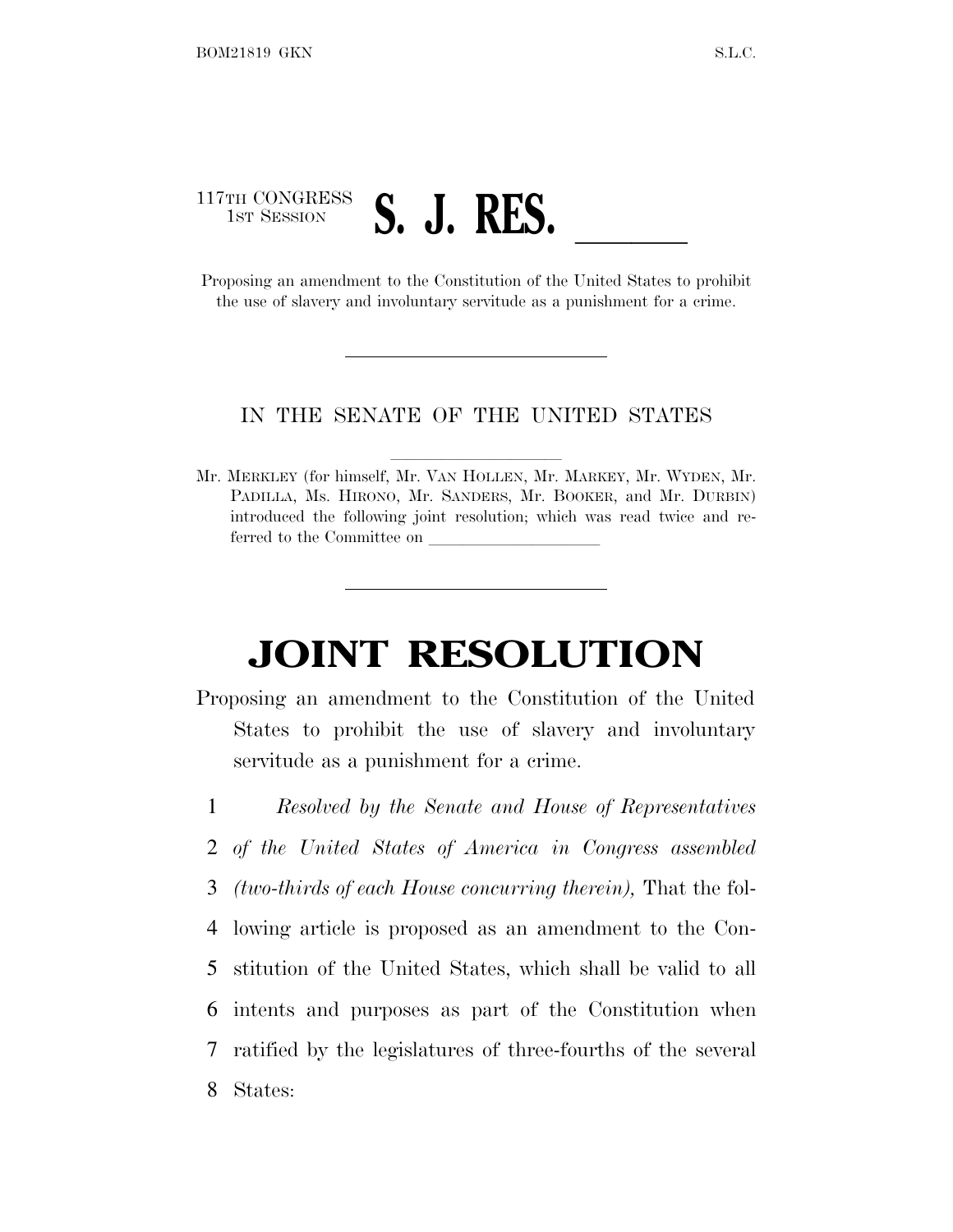## 117TH CONGRESS <sup>1</sup>ST <sup>S</sup>ESSION **S. J. RES.** ll Proposing an amendment to the Constitution of the United States to prohibit

the use of slavery and involuntary servitude as a punishment for a crime.

## IN THE SENATE OF THE UNITED STATES

Mr. MERKLEY (for himself, Mr. VAN HOLLEN, Mr. MARKEY, Mr. WYDEN, Mr. PADILLA, Ms. HIRONO, Mr. SANDERS, Mr. BOOKER, and Mr. DURBIN) introduced the following joint resolution; which was read twice and referred to the Committee on

## **JOINT RESOLUTION**

- Proposing an amendment to the Constitution of the United States to prohibit the use of slavery and involuntary servitude as a punishment for a crime.
- 1 *Resolved by the Senate and House of Representatives* 2 *of the United States of America in Congress assembled* 3 *(two-thirds of each House concurring therein),* That the fol-4 lowing article is proposed as an amendment to the Con-5 stitution of the United States, which shall be valid to all 6 intents and purposes as part of the Constitution when 7 ratified by the legislatures of three-fourths of the several 8 States: